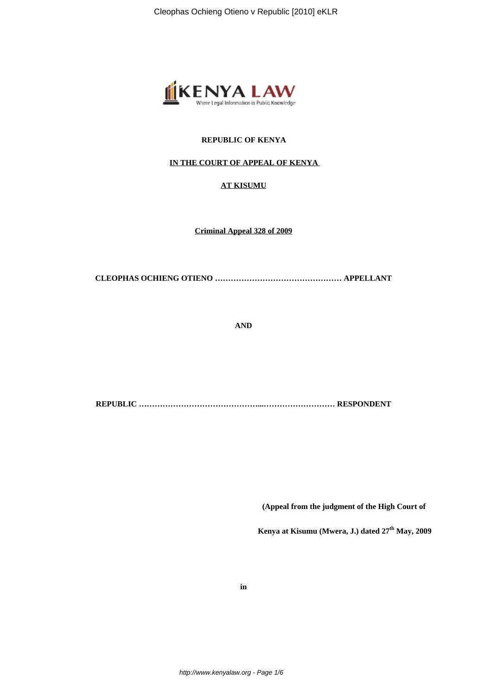

# **REPUBLIC OF KENYA**

# **IN THE COURT OF APPEAL OF KENYA**

# **AT KISUMU**

**Criminal Appeal 328 of 2009**

**CLEOPHAS OCHIENG OTIENO ………………………………………… APPELLANT**

**AND**

**REPUBLIC ………………………………………...……………………… RESPONDENT**

 **(Appeal from the judgment of the High Court of**

 **Kenya at Kisumu (Mwera, J.) dated 27th May, 2009**

**in**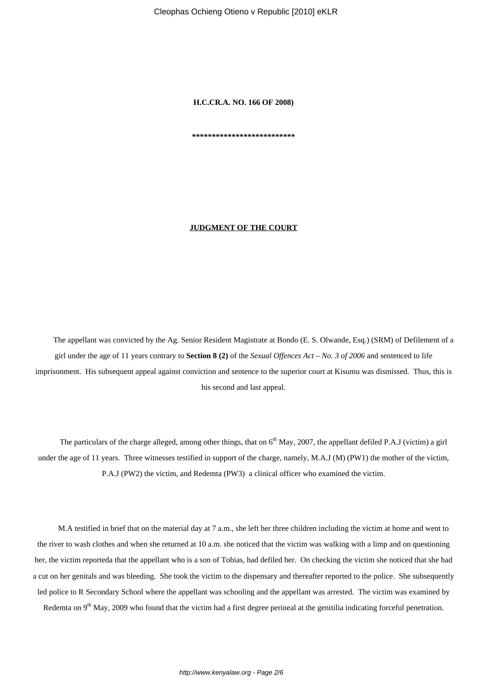Cleophas Ochieng Otieno v Republic [2010] eKLR

**H.C.CR.A. NO. 166 OF 2008)**

**\*\*\*\*\*\*\*\*\*\*\*\*\*\*\*\*\*\*\*\*\*\*\*\*\*\***

### **JUDGMENT OF THE COURT**

The appellant was convicted by the Ag. Senior Resident Magistrate at Bondo (E. S. Olwande, Esq.) (SRM) of Defilement of a girl under the age of 11 years contrary to **Section 8 (2)** of the *Sexual Offences Act* – *No. 3 of 2006* and sentenced to life imprisonment. His subsequent appeal against conviction and sentence to the superior court at Kisumu was dismissed. Thus, this is his second and last appeal.

The particulars of the charge alleged, among other things, that on  $6<sup>th</sup>$  May, 2007, the appellant defiled P.A.J (victim) a girl under the age of 11 years. Three witnesses testified in support of the charge, namely, M.A.J (M) (PW1) the mother of the victim, P.A.J (PW2) the victim, and Redemta (PW3) a clinical officer who examined the victim.

M.A testified in brief that on the material day at 7 a.m., she left her three children including the victim at home and went to the river to wash clothes and when she returned at 10 a.m. she noticed that the victim was walking with a limp and on questioning her, the victim reporteda that the appellant who is a son of Tobias, had defiled her. On checking the victim she noticed that she had a cut on her genitals and was bleeding. She took the victim to the dispensary and thereafter reported to the police. She subsequently led police to R Secondary School where the appellant was schooling and the appellant was arrested. The victim was examined by Redemta on 9<sup>th</sup> May, 2009 who found that the victim had a first degree perineal at the genitilia indicating forceful penetration.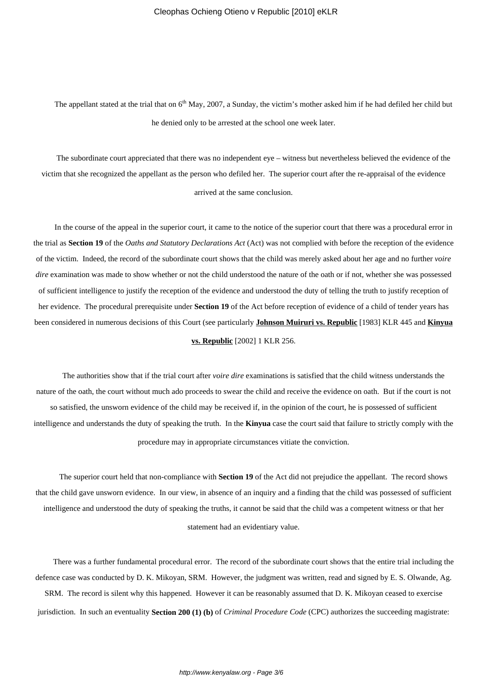The appellant stated at the trial that on  $6<sup>th</sup>$  May, 2007, a Sunday, the victim's mother asked him if he had defiled her child but he denied only to be arrested at the school one week later.

The subordinate court appreciated that there was no independent eye – witness but nevertheless believed the evidence of the victim that she recognized the appellant as the person who defiled her. The superior court after the re-appraisal of the evidence arrived at the same conclusion.

In the course of the appeal in the superior court, it came to the notice of the superior court that there was a procedural error in the trial as **Section 19** of the *Oaths and Statutory Declarations Act* (Act) was not complied with before the reception of the evidence of the victim. Indeed, the record of the subordinate court shows that the child was merely asked about her age and no further *voire dire* examination was made to show whether or not the child understood the nature of the oath or if not, whether she was possessed of sufficient intelligence to justify the reception of the evidence and understood the duty of telling the truth to justify reception of her evidence. The procedural prerequisite under **Section 19** of the Act before reception of evidence of a child of tender years has been considered in numerous decisions of this Court (see particularly **Johnson Muiruri vs. Republic** [1983] KLR 445 and **Kinyua**

## **vs. Republic** [2002] 1 KLR 256.

The authorities show that if the trial court after *voire dire* examinations is satisfied that the child witness understands the nature of the oath, the court without much ado proceeds to swear the child and receive the evidence on oath. But if the court is not so satisfied, the unsworn evidence of the child may be received if, in the opinion of the court, he is possessed of sufficient intelligence and understands the duty of speaking the truth. In the **Kinyua** case the court said that failure to strictly comply with the procedure may in appropriate circumstances vitiate the conviction.

The superior court held that non-compliance with **Section 19** of the Act did not prejudice the appellant. The record shows that the child gave unsworn evidence. In our view, in absence of an inquiry and a finding that the child was possessed of sufficient intelligence and understood the duty of speaking the truths, it cannot be said that the child was a competent witness or that her statement had an evidentiary value.

There was a further fundamental procedural error. The record of the subordinate court shows that the entire trial including the defence case was conducted by D. K. Mikoyan, SRM. However, the judgment was written, read and signed by E. S. Olwande, Ag. SRM. The record is silent why this happened. However it can be reasonably assumed that D. K. Mikoyan ceased to exercise jurisdiction. In such an eventuality **Section 200 (1) (b)** of *Criminal Procedure Code* (CPC) authorizes the succeeding magistrate: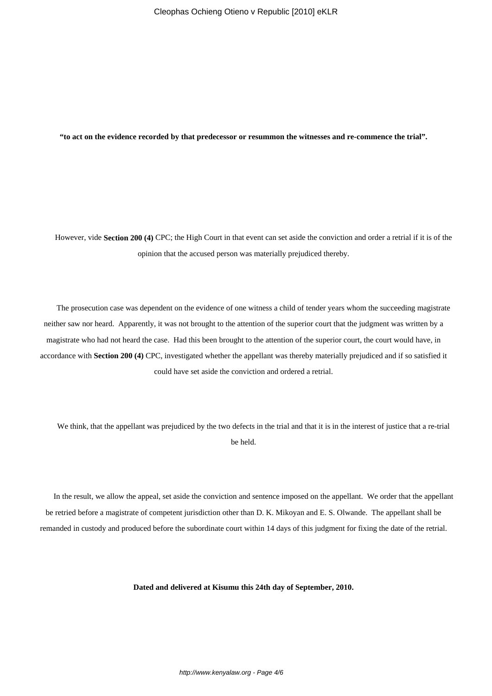**"to act on the evidence recorded by that predecessor or resummon the witnesses and re-commence the trial".**

However, vide **Section 200 (4)** CPC; the High Court in that event can set aside the conviction and order a retrial if it is of the opinion that the accused person was materially prejudiced thereby.

The prosecution case was dependent on the evidence of one witness a child of tender years whom the succeeding magistrate neither saw nor heard. Apparently, it was not brought to the attention of the superior court that the judgment was written by a magistrate who had not heard the case. Had this been brought to the attention of the superior court, the court would have, in accordance with **Section 200 (4)** CPC, investigated whether the appellant was thereby materially prejudiced and if so satisfied it could have set aside the conviction and ordered a retrial.

We think, that the appellant was prejudiced by the two defects in the trial and that it is in the interest of justice that a re-trial be held.

In the result, we allow the appeal, set aside the conviction and sentence imposed on the appellant. We order that the appellant be retried before a magistrate of competent jurisdiction other than D. K. Mikoyan and E. S. Olwande. The appellant shall be remanded in custody and produced before the subordinate court within 14 days of this judgment for fixing the date of the retrial.

**Dated and delivered at Kisumu this 24th day of September, 2010.**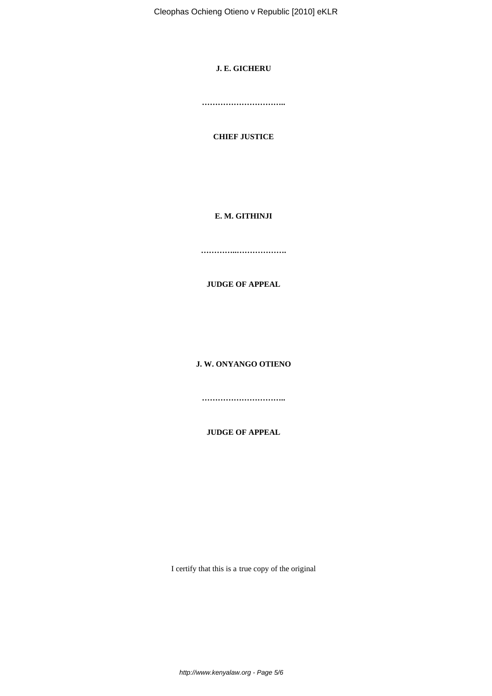Cleophas Ochieng Otieno v Republic [2010] eKLR

# **J. E. GICHERU**

**…………………………..**

# **CHIEF JUSTICE**

# **E. M. GITHINJI**

**…………..……………….**

**JUDGE OF APPEAL**

**J. W. ONYANGO OTIENO**

**…………………………..**

**JUDGE OF APPEAL**

I certify that this is a true copy of the original